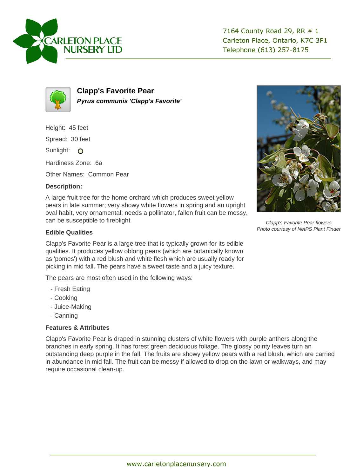



**Clapp's Favorite Pear Pyrus communis 'Clapp's Favorite'**

Height: 45 feet

Spread: 30 feet

Sunlight: O

Hardiness Zone: 6a

Other Names: Common Pear

## **Description:**

A large fruit tree for the home orchard which produces sweet yellow pears in late summer; very showy white flowers in spring and an upright oval habit, very ornamental; needs a pollinator, fallen fruit can be messy, can be susceptible to fireblight

## **Edible Qualities**

Clapp's Favorite Pear is a large tree that is typically grown for its edible qualities. It produces yellow oblong pears (which are botanically known as 'pomes') with a red blush and white flesh which are usually ready for picking in mid fall. The pears have a sweet taste and a juicy texture.

The pears are most often used in the following ways:

- Fresh Eating
- Cooking
- Juice-Making
- Canning

## **Features & Attributes**

Clapp's Favorite Pear is draped in stunning clusters of white flowers with purple anthers along the branches in early spring. It has forest green deciduous foliage. The glossy pointy leaves turn an outstanding deep purple in the fall. The fruits are showy yellow pears with a red blush, which are carried in abundance in mid fall. The fruit can be messy if allowed to drop on the lawn or walkways, and may require occasional clean-up.



Clapp's Favorite Pear flowers Photo courtesy of NetPS Plant Finder